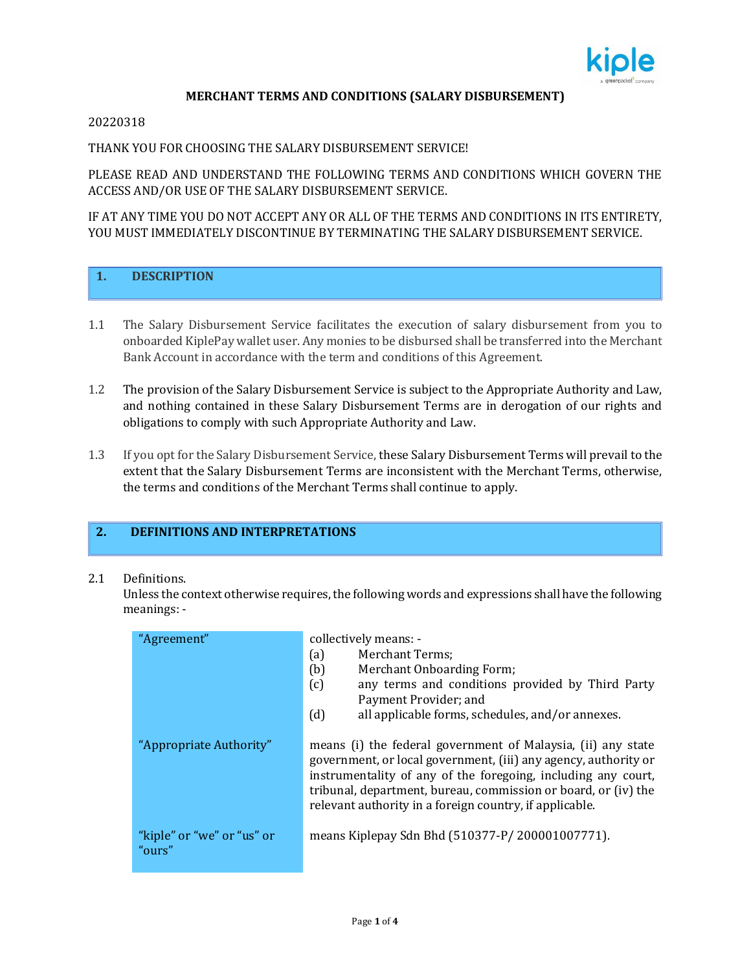

#### **MERCHANT TERMS AND CONDITIONS (SALARY DISBURSEMENT)**

#### 20220318

# THANK YOU FOR CHOOSING THE SALARY DISBURSEMENT SERVICE!

PLEASE READ AND UNDERSTAND THE FOLLOWING TERMS AND CONDITIONS WHICH GOVERN THE ACCESS AND/OR USE OF THE SALARY DISBURSEMENT SERVICE.

IF AT ANY TIME YOU DO NOT ACCEPT ANY OR ALL OF THE TERMS AND CONDITIONS IN ITS ENTIRETY, YOU MUST IMMEDIATELY DISCONTINUE BY TERMINATING THE SALARY DISBURSEMENT SERVICE.

## **1. DESCRIPTION**

- 1.1 The Salary Disbursement Service facilitates the execution of salary disbursement from you to onboarded KiplePay wallet user. Any monies to be disbursed shall be transferred into the Merchant Bank Account in accordance with the term and conditions of this Agreement.
- 1.2 The provision of the Salary Disbursement Service is subject to the Appropriate Authority and Law, and nothing contained in these Salary Disbursement Terms are in derogation of our rights and obligations to comply with such Appropriate Authority and Law.
- 1.3 If you opt for the Salary Disbursement Service, these Salary Disbursement Terms will prevail to the extent that the Salary Disbursement Terms are inconsistent with the Merchant Terms, otherwise, the terms and conditions of the Merchant Terms shall continue to apply.

# **2. DEFINITIONS AND INTERPRETATIONS**

#### 2.1 Definitions.

Unless the context otherwise requires, the following words and expressions shall have the following meanings: -

| "Agreement"                          | collectively means: -<br>Merchant Terms;<br>(a)<br>(b)<br>Merchant Onboarding Form;<br>any terms and conditions provided by Third Party<br>(c)<br>Payment Provider; and<br>(d)<br>all applicable forms, schedules, and/or annexes.                                                                                            |  |
|--------------------------------------|-------------------------------------------------------------------------------------------------------------------------------------------------------------------------------------------------------------------------------------------------------------------------------------------------------------------------------|--|
| "Appropriate Authority"              | means (i) the federal government of Malaysia, (ii) any state<br>government, or local government, (iii) any agency, authority or<br>instrumentality of any of the foregoing, including any court,<br>tribunal, department, bureau, commission or board, or (iv) the<br>relevant authority in a foreign country, if applicable. |  |
| "kiple" or "we" or "us" or<br>"ours" | means Kiplepay Sdn Bhd (510377-P/200001007771).                                                                                                                                                                                                                                                                               |  |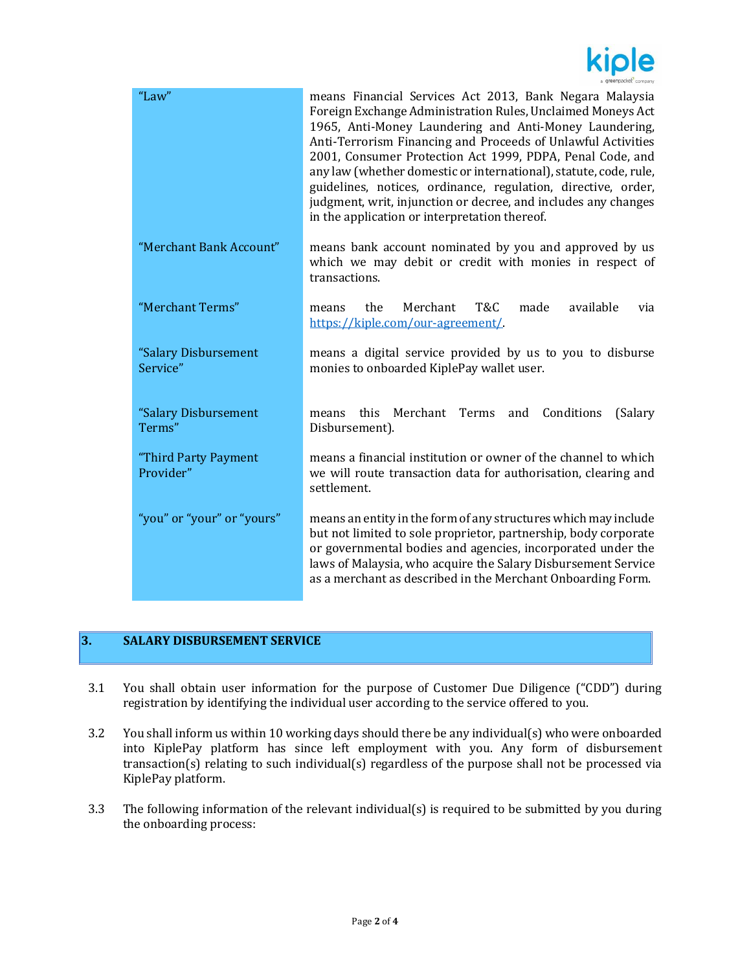

| "Law"                             | means Financial Services Act 2013, Bank Negara Malaysia<br>Foreign Exchange Administration Rules, Unclaimed Moneys Act<br>1965, Anti-Money Laundering and Anti-Money Laundering,<br>Anti-Terrorism Financing and Proceeds of Unlawful Activities<br>2001, Consumer Protection Act 1999, PDPA, Penal Code, and<br>any law (whether domestic or international), statute, code, rule,<br>guidelines, notices, ordinance, regulation, directive, order,<br>judgment, writ, injunction or decree, and includes any changes<br>in the application or interpretation thereof. |  |
|-----------------------------------|------------------------------------------------------------------------------------------------------------------------------------------------------------------------------------------------------------------------------------------------------------------------------------------------------------------------------------------------------------------------------------------------------------------------------------------------------------------------------------------------------------------------------------------------------------------------|--|
| "Merchant Bank Account"           | means bank account nominated by you and approved by us<br>which we may debit or credit with monies in respect of<br>transactions.                                                                                                                                                                                                                                                                                                                                                                                                                                      |  |
| "Merchant Terms"                  | T&C<br>Merchant<br>available<br>the<br>made<br>via<br>means<br>https://kiple.com/our-agreement/                                                                                                                                                                                                                                                                                                                                                                                                                                                                        |  |
| "Salary Disbursement<br>Service"  | means a digital service provided by us to you to disburse<br>monies to onboarded KiplePay wallet user.                                                                                                                                                                                                                                                                                                                                                                                                                                                                 |  |
| "Salary Disbursement<br>Terms"    | Merchant<br>Terms<br>Conditions<br>(Salary<br>this<br>and<br>means<br>Disbursement).                                                                                                                                                                                                                                                                                                                                                                                                                                                                                   |  |
| "Third Party Payment<br>Provider" | means a financial institution or owner of the channel to which<br>we will route transaction data for authorisation, clearing and<br>settlement.                                                                                                                                                                                                                                                                                                                                                                                                                        |  |
| "you" or "your" or "yours"        | means an entity in the form of any structures which may include<br>but not limited to sole proprietor, partnership, body corporate<br>or governmental bodies and agencies, incorporated under the<br>laws of Malaysia, who acquire the Salary Disbursement Service<br>as a merchant as described in the Merchant Onboarding Form.                                                                                                                                                                                                                                      |  |

# **3. SALARY DISBURSEMENT SERVICE**

- 3.1 You shall obtain user information for the purpose of Customer Due Diligence ("CDD") during registration by identifying the individual user according to the service offered to you.
- 3.2 You shall inform us within 10 working days should there be any individual(s) who were onboarded into KiplePay platform has since left employment with you. Any form of disbursement transaction(s) relating to such individual(s) regardless of the purpose shall not be processed via KiplePay platform.
- 3.3 The following information of the relevant individual(s) is required to be submitted by you during the onboarding process: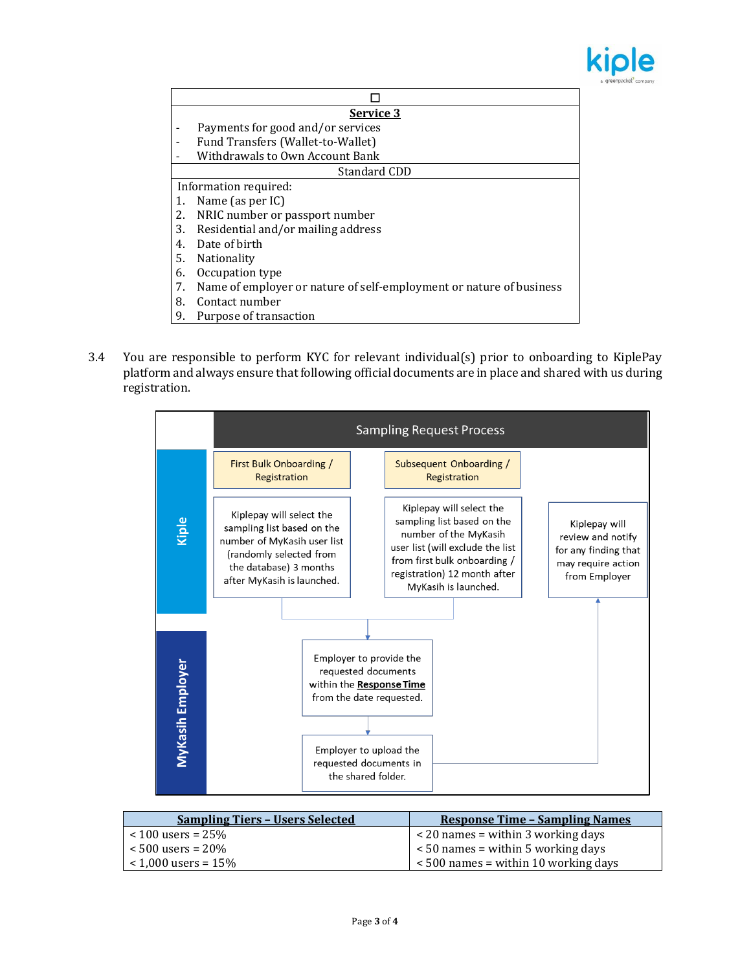

| Service 3                       |                                                                     |  |
|---------------------------------|---------------------------------------------------------------------|--|
|                                 | Payments for good and/or services                                   |  |
| $\overline{\phantom{a}}$        | Fund Transfers (Wallet-to-Wallet)                                   |  |
| Withdrawals to Own Account Bank |                                                                     |  |
|                                 | Standard CDD                                                        |  |
|                                 | Information required:                                               |  |
|                                 | Name (as per IC)                                                    |  |
|                                 | NRIC number or passport number                                      |  |
| 3.                              | Residential and/or mailing address                                  |  |
| 4.                              | Date of birth                                                       |  |
| 5.                              | <b>Nationality</b>                                                  |  |
| 6.                              | Occupation type                                                     |  |
| 7.                              | Name of employer or nature of self-employment or nature of business |  |
| 8.                              | Contact number                                                      |  |

- 9. Purpose of transaction
- 3.4 You are responsible to perform KYC for relevant individual(s) prior to onboarding to KiplePay platform and always ensure that following official documents are in place and shared with us during registration.



| <b>Sampling Tiers - Users Selected</b> | <b>Response Time - Sampling Names</b>   |
|----------------------------------------|-----------------------------------------|
| $< 100$ users = 25%                    | $\leq$ 20 names = within 3 working days |
| $< 500$ users = 20%                    | $<$ 50 names = within 5 working days    |
| $< 1,000$ users = 15%                  | $< 500$ names = within 10 working days  |